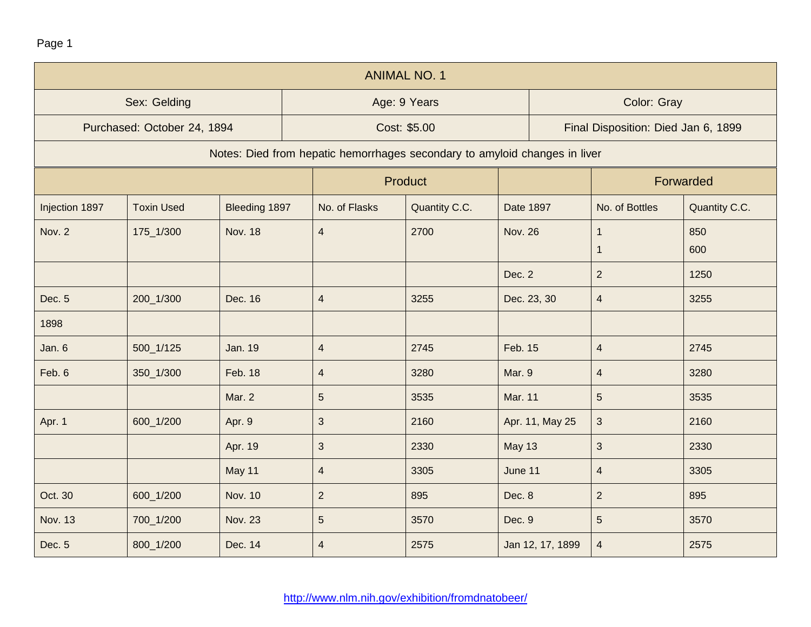Page 1

| <b>ANIMAL NO. 1</b> |                             |                |                                                                            |               |                  |                                     |               |  |  |  |
|---------------------|-----------------------------|----------------|----------------------------------------------------------------------------|---------------|------------------|-------------------------------------|---------------|--|--|--|
|                     | Sex: Gelding                |                |                                                                            | Age: 9 Years  |                  | Color: Gray                         |               |  |  |  |
|                     | Purchased: October 24, 1894 |                |                                                                            | Cost: \$5.00  |                  | Final Disposition: Died Jan 6, 1899 |               |  |  |  |
|                     |                             |                | Notes: Died from hepatic hemorrhages secondary to amyloid changes in liver |               |                  |                                     |               |  |  |  |
|                     |                             |                |                                                                            | Product       |                  |                                     | Forwarded     |  |  |  |
| Injection 1897      | <b>Toxin Used</b>           | Bleeding 1897  | No. of Flasks                                                              | Quantity C.C. | Date 1897        | No. of Bottles                      | Quantity C.C. |  |  |  |
| Nov. 2              | 175_1/300                   | <b>Nov. 18</b> | $\overline{4}$                                                             | 2700          | <b>Nov. 26</b>   | $\mathbf 1$<br>$\mathbf 1$          | 850<br>600    |  |  |  |
|                     |                             |                |                                                                            |               | Dec. 2           | $\overline{2}$                      | 1250          |  |  |  |
| Dec. 5              | 200_1/300                   | Dec. 16        | $\overline{\mathbf{4}}$                                                    | 3255          | Dec. 23, 30      | $\overline{4}$                      | 3255          |  |  |  |
| 1898                |                             |                |                                                                            |               |                  |                                     |               |  |  |  |
| Jan. 6              | 500_1/125                   | <b>Jan. 19</b> | $\overline{4}$                                                             | 2745          | Feb. 15          | $\overline{4}$                      | 2745          |  |  |  |
| Feb. 6              | 350_1/300                   | Feb. 18        | $\overline{4}$                                                             | 3280          | Mar. 9           | $\overline{4}$                      | 3280          |  |  |  |
|                     |                             | Mar. 2         | $\sqrt{5}$                                                                 | 3535          | <b>Mar. 11</b>   | 5                                   | 3535          |  |  |  |
| Apr. 1              | 600_1/200                   | Apr. 9         | $\mathfrak{S}$                                                             | 2160          | Apr. 11, May 25  | 3                                   | 2160          |  |  |  |
|                     |                             | Apr. 19        | $\sqrt{3}$                                                                 | 2330          | <b>May 13</b>    | $\mathfrak{S}$                      | 2330          |  |  |  |
|                     |                             | May 11         | $\overline{4}$                                                             | 3305          | June 11          | $\overline{4}$                      | 3305          |  |  |  |
| Oct. 30             | 600_1/200                   | <b>Nov. 10</b> | $\overline{2}$                                                             | 895           | Dec. 8           | $\overline{2}$                      | 895           |  |  |  |
| Nov. 13             | 700_1/200                   | <b>Nov. 23</b> | $\sqrt{5}$                                                                 | 3570          | Dec. 9           | $\sqrt{5}$                          | 3570          |  |  |  |
| Dec. 5              | 800_1/200                   | Dec. 14        | $\overline{4}$                                                             | 2575          | Jan 12, 17, 1899 | $\overline{4}$                      | 2575          |  |  |  |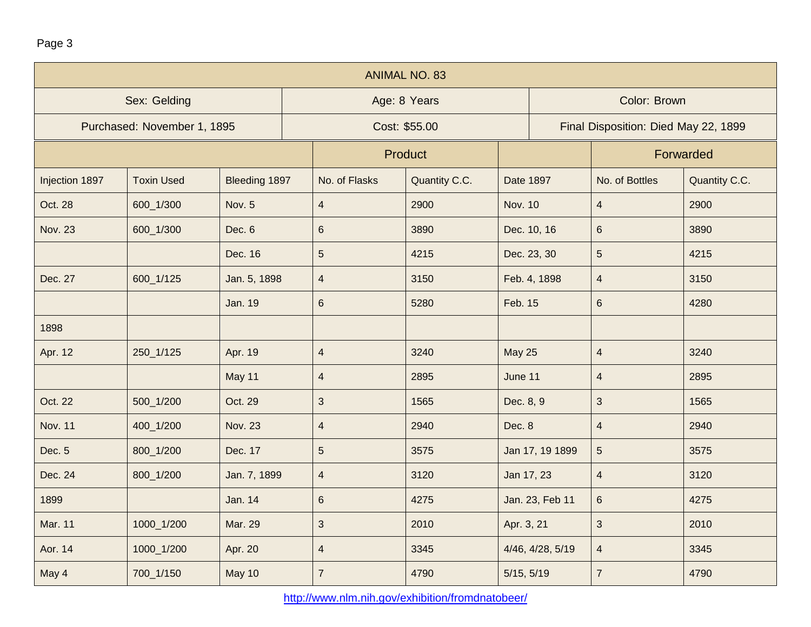| г |  |
|---|--|
|---|--|

| <b>ANIMAL NO. 83</b> |                             |                |                         |                |                  |                                      |               |  |  |  |
|----------------------|-----------------------------|----------------|-------------------------|----------------|------------------|--------------------------------------|---------------|--|--|--|
|                      | Sex: Gelding                |                |                         | Age: 8 Years   |                  | Color: Brown                         |               |  |  |  |
|                      | Purchased: November 1, 1895 |                |                         | Cost: \$55.00  |                  | Final Disposition: Died May 22, 1899 |               |  |  |  |
|                      |                             |                |                         | <b>Product</b> |                  | Forwarded                            |               |  |  |  |
| Injection 1897       | <b>Toxin Used</b>           | Bleeding 1897  | No. of Flasks           | Quantity C.C.  | <b>Date 1897</b> | No. of Bottles                       | Quantity C.C. |  |  |  |
| Oct. 28              | 600_1/300                   | <b>Nov. 5</b>  | $\overline{4}$          | 2900           | <b>Nov. 10</b>   | $\overline{4}$                       | 2900          |  |  |  |
| <b>Nov. 23</b>       | 600_1/300                   | Dec. 6         | $\,6\,$                 | 3890           | Dec. 10, 16      | $\,6\,$                              | 3890          |  |  |  |
|                      |                             | Dec. 16        | $5\phantom{.}$          | 4215           | Dec. 23, 30      | 5                                    | 4215          |  |  |  |
| Dec. 27              | 600_1/125                   | Jan. 5, 1898   | $\overline{4}$          | 3150           | Feb. 4, 1898     | $\overline{4}$                       | 3150          |  |  |  |
|                      |                             | <b>Jan. 19</b> | $6\phantom{1}$          | 5280           | Feb. 15          | $6\phantom{a}$                       | 4280          |  |  |  |
| 1898                 |                             |                |                         |                |                  |                                      |               |  |  |  |
| Apr. 12              | 250_1/125                   | Apr. 19        | $\overline{\mathbf{4}}$ | 3240           | <b>May 25</b>    | $\overline{\mathbf{4}}$              | 3240          |  |  |  |
|                      |                             | May 11         | $\overline{4}$          | 2895           | June 11          | $\overline{4}$                       | 2895          |  |  |  |
| Oct. 22              | 500_1/200                   | Oct. 29        | $\mathbf{3}$            | 1565           | Dec. 8, 9        | 3                                    | 1565          |  |  |  |
| <b>Nov. 11</b>       | 400_1/200                   | <b>Nov. 23</b> | $\overline{4}$          | 2940           | Dec. 8           | $\overline{\mathbf{4}}$              | 2940          |  |  |  |
| Dec. 5               | 800_1/200                   | Dec. 17        | $\sqrt{5}$              | 3575           | Jan 17, 19 1899  | $\overline{5}$                       | 3575          |  |  |  |
| Dec. 24              | 800_1/200                   | Jan. 7, 1899   | $\overline{4}$          | 3120           | Jan 17, 23       | $\overline{\mathbf{4}}$              | 3120          |  |  |  |
| 1899                 |                             | <b>Jan. 14</b> | 6                       | 4275           | Jan. 23, Feb 11  | $\,6\,$                              | 4275          |  |  |  |
| <b>Mar. 11</b>       | 1000_1/200                  | Mar. 29        | $\mathfrak{S}$          | 2010           | Apr. 3, 21       | $\sqrt{3}$                           | 2010          |  |  |  |
| Aor. 14              | 1000_1/200                  | Apr. 20        | $\overline{\mathbf{4}}$ | 3345           | 4/46, 4/28, 5/19 | $\overline{4}$                       | 3345          |  |  |  |
| May 4                | 700_1/150                   | May 10         | $\overline{7}$          | 4790           | 5/15, 5/19       | $\overline{7}$                       | 4790          |  |  |  |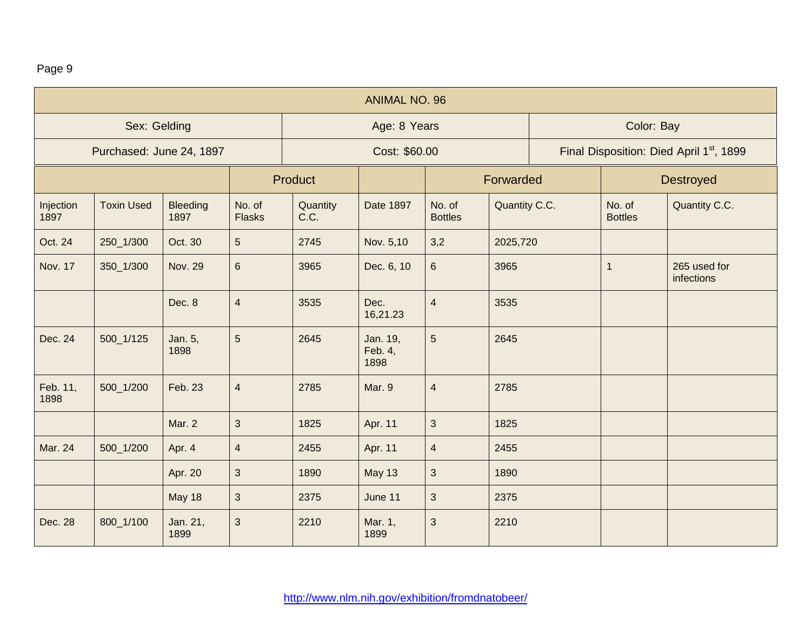## Page 9

| <b>ANIMAL NO. 96</b>     |                   |                         |                         |                  |                             |                          |               |                                                      |                          |                            |
|--------------------------|-------------------|-------------------------|-------------------------|------------------|-----------------------------|--------------------------|---------------|------------------------------------------------------|--------------------------|----------------------------|
|                          | Sex: Gelding      |                         |                         | Age: 8 Years     |                             |                          |               | Color: Bay                                           |                          |                            |
| Purchased: June 24, 1897 |                   |                         |                         | Cost: \$60.00    |                             |                          |               | Final Disposition: Died April 1 <sup>st</sup> , 1899 |                          |                            |
|                          |                   |                         |                         | Product          |                             | Forwarded                |               |                                                      |                          | <b>Destroyed</b>           |
| Injection<br>1897        | <b>Toxin Used</b> | <b>Bleeding</b><br>1897 | No. of<br><b>Flasks</b> | Quantity<br>C.C. | Date 1897                   | No. of<br><b>Bottles</b> | Quantity C.C. |                                                      | No. of<br><b>Bottles</b> | Quantity C.C.              |
| Oct. 24                  | 250_1/300         | Oct. 30                 | $\overline{5}$          | 2745             | Nov. 5,10                   | 3,2                      | 2025,720      |                                                      |                          |                            |
| <b>Nov. 17</b>           | 350_1/300         | <b>Nov. 29</b>          | $\,6\,$                 | 3965             | Dec. 6, 10                  | $6\phantom{1}$           | 3965          |                                                      | $\mathbf{1}$             | 265 used for<br>infections |
|                          |                   | Dec. 8                  | $\overline{4}$          | 3535             | Dec.<br>16,21.23            | $\overline{4}$           | 3535          |                                                      |                          |                            |
| Dec. 24                  | 500_1/125         | Jan. 5,<br>1898         | $\overline{5}$          | 2645             | Jan. 19,<br>Feb. 4,<br>1898 | 5                        | 2645          |                                                      |                          |                            |
| Feb. 11,<br>1898         | 500_1/200         | Feb. 23                 | $\overline{4}$          | 2785             | Mar. 9                      | $\overline{4}$           | 2785          |                                                      |                          |                            |
|                          |                   | Mar. 2                  | $\mathbf{3}$            | 1825             | Apr. 11                     | 3                        | 1825          |                                                      |                          |                            |
| Mar. 24                  | 500_1/200         | Apr. 4                  | $\overline{\mathbf{4}}$ | 2455             | Apr. 11                     | $\overline{4}$           | 2455          |                                                      |                          |                            |
|                          |                   | Apr. 20                 | $\mathbf{3}$            | 1890             | <b>May 13</b>               | 3                        | 1890          |                                                      |                          |                            |
|                          |                   | May 18                  | $\mathbf{3}$            | 2375             | June 11                     | 3                        | 2375          |                                                      |                          |                            |
| Dec. 28                  | 800_1/100         | Jan. 21,<br>1899        | $\mathbf{3}$            | 2210             | Mar. 1,<br>1899             | 3                        | 2210          |                                                      |                          |                            |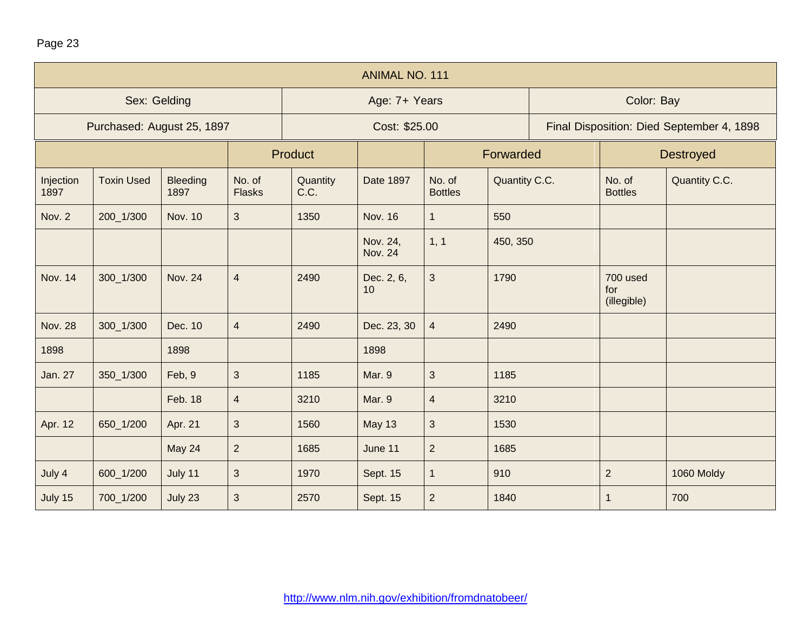| <b>ANIMAL NO. 111</b>      |                   |                         |                         |                             |                            |                          |                  |                                           |                                |               |
|----------------------------|-------------------|-------------------------|-------------------------|-----------------------------|----------------------------|--------------------------|------------------|-------------------------------------------|--------------------------------|---------------|
|                            | Sex: Gelding      |                         |                         | Age: 7+ Years               |                            |                          |                  | Color: Bay                                |                                |               |
| Purchased: August 25, 1897 |                   |                         |                         | Cost: \$25.00               |                            |                          |                  | Final Disposition: Died September 4, 1898 |                                |               |
|                            |                   |                         |                         | <b>Product</b><br>Forwarded |                            |                          | <b>Destroyed</b> |                                           |                                |               |
| Injection<br>1897          | <b>Toxin Used</b> | <b>Bleeding</b><br>1897 | No. of<br><b>Flasks</b> | Quantity<br>C.C.            | <b>Date 1897</b>           | No. of<br><b>Bottles</b> | Quantity C.C.    |                                           | No. of<br><b>Bottles</b>       | Quantity C.C. |
| Nov. 2                     | 200_1/300         | <b>Nov. 10</b>          | 3                       | 1350                        | <b>Nov. 16</b>             | $\mathbf{1}$             | 550              |                                           |                                |               |
|                            |                   |                         |                         |                             | Nov. 24,<br><b>Nov. 24</b> | 1, 1                     | 450, 350         |                                           |                                |               |
| <b>Nov. 14</b>             | 300_1/300         | <b>Nov. 24</b>          | $\overline{4}$          | 2490                        | Dec. 2, 6,<br>10           | $\mathbf{3}$             | 1790             |                                           | 700 used<br>for<br>(illegible) |               |
| <b>Nov. 28</b>             | 300_1/300         | Dec. 10                 | $\overline{\mathbf{4}}$ | 2490                        | Dec. 23, 30                | $\overline{4}$           | 2490             |                                           |                                |               |
| 1898                       |                   | 1898                    |                         |                             | 1898                       |                          |                  |                                           |                                |               |
| Jan. 27                    | 350_1/300         | Feb, 9                  | $\mathfrak{S}$          | 1185                        | Mar. 9                     | $\sqrt{3}$               | 1185             |                                           |                                |               |
|                            |                   | Feb. 18                 | $\overline{\mathbf{4}}$ | 3210                        | Mar. 9                     | $\overline{4}$           | 3210             |                                           |                                |               |
| Apr. 12                    | 650_1/200         | Apr. 21                 | $\sqrt{3}$              | 1560                        | May 13                     | $\sqrt{3}$               | 1530             |                                           |                                |               |
|                            |                   | May 24                  | $\overline{2}$          | 1685                        | June 11                    | $\overline{2}$           | 1685             |                                           |                                |               |
| July 4                     | 600_1/200         | July 11                 | $\mathfrak{S}$          | 1970                        | Sept. 15                   | $\mathbf{1}$             | 910              |                                           | $\overline{2}$                 | 1060 Moldy    |
| July 15                    | 700_1/200         | July 23                 | $\mathbf{3}$            | 2570                        | Sept. 15                   | $\sqrt{2}$               | 1840             |                                           | $\overline{1}$                 | 700           |